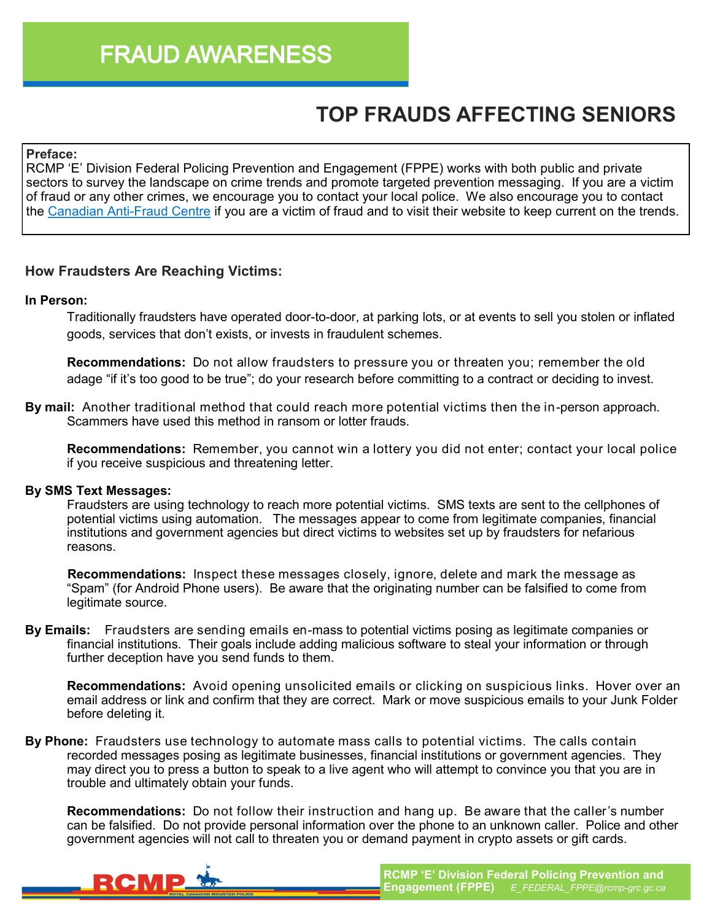# **TOP FRAUDS AFFECTING SENIORS**

#### **Preface:**

RCMP 'E' Division Federal Policing Prevention and Engagement (FPPE) works with both public and private sectors to survey the landscape on crime trends and promote targeted prevention messaging. If you are a victim of fraud or any other crimes, we encourage you to contact your local police. We also encourage you to contact the [Canadian Anti](https://www.antifraudcentre-centreantifraude.ca/report-signalez-eng.htm)-Fraud Centre if you are a victim of fraud and to visit their website to keep current on the trends.

#### **How Fraudsters Are Reaching Victims:**

#### **In Person:**

Traditionally fraudsters have operated door-to-door, at parking lots, or at events to sell you stolen or inflated goods, services that don't exists, or invests in fraudulent schemes.

**Recommendations:** Do not allow fraudsters to pressure you or threaten you; remember the old adage "if it's too good to be true"; do your research before committing to a contract or deciding to invest.

**By mail:** Another traditional method that could reach more potential victims then the in-person approach. Scammers have used this method in ransom or lotter frauds.

**Recommendations:** Remember, you cannot win a lottery you did not enter; contact your local police if you receive suspicious and threatening letter.

#### **By SMS Text Messages:**

Fraudsters are using technology to reach more potential victims. SMS texts are sent to the cellphones of potential victims using automation. The messages appear to come from legitimate companies, financial institutions and government agencies but direct victims to websites set up by fraudsters for nefarious reasons.

**Recommendations:** Inspect these messages closely, ignore, delete and mark the message as "Spam" (for Android Phone users). Be aware that the originating number can be falsified to come from legitimate source.

**By Emails:** Fraudsters are sending emails en-mass to potential victims posing as legitimate companies or financial institutions. Their goals include adding malicious software to steal your information or through further deception have you send funds to them.

**Recommendations:** Avoid opening unsolicited emails or clicking on suspicious links. Hover over an email address or link and confirm that they are correct. Mark or move suspicious emails to your Junk Folder before deleting it.

**By Phone:** Fraudsters use technology to automate mass calls to potential victims. The calls contain recorded messages posing as legitimate businesses, financial institutions or government agencies. They may direct you to press a button to speak to a live agent who will attempt to convince you that you are in trouble and ultimately obtain your funds.

**Recommendations:** Do not follow their instruction and hang up. Be aware that the caller's number can be falsified. Do not provide personal information over the phone to an unknown caller. Police and other government agencies will not call to threaten you or demand payment in crypto assets or gift cards.

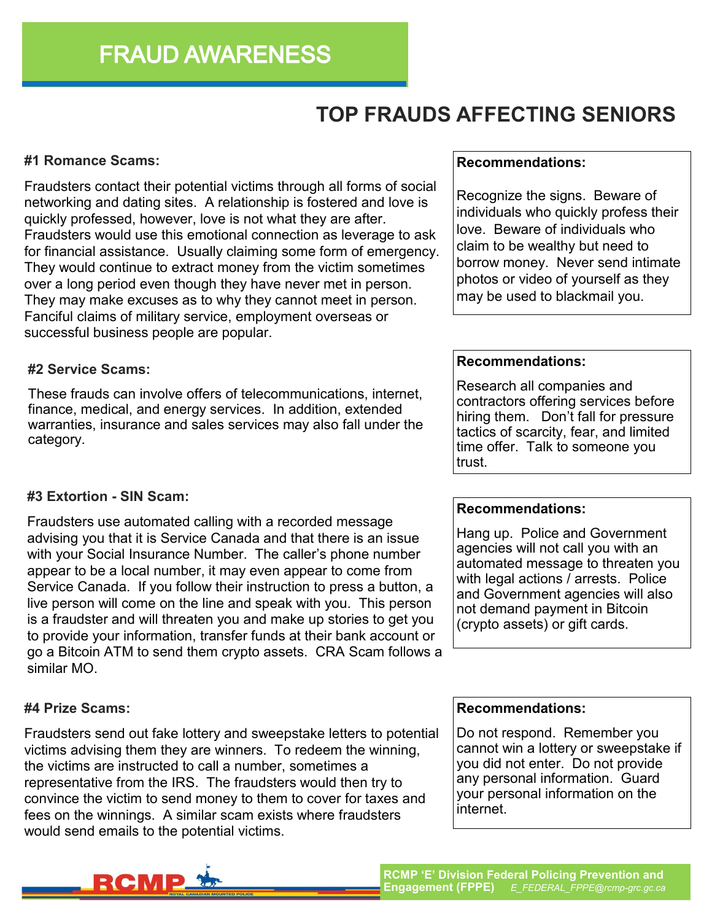# **TOP FRAUDS AFFECTING SENIORS**

## **#1 Romance Scams:**

Fraudsters contact their potential victims through all forms of social networking and dating sites. A relationship is fostered and love is quickly professed, however, love is not what they are after. Fraudsters would use this emotional connection as leverage to ask for financial assistance. Usually claiming some form of emergency. They would continue to extract money from the victim sometimes over a long period even though they have never met in person. They may make excuses as to why they cannot meet in person. Fanciful claims of military service, employment overseas or successful business people are popular.

### **#2 Service Scams:**

These frauds can involve offers of telecommunications, internet, finance, medical, and energy services. In addition, extended warranties, insurance and sales services may also fall under the category.

### **#3 Extortion - SIN Scam:**

Fraudsters use automated calling with a recorded message advising you that it is Service Canada and that there is an issue with your Social Insurance Number. The caller's phone number appear to be a local number, it may even appear to come from Service Canada. If you follow their instruction to press a button, a live person will come on the line and speak with you. This person is a fraudster and will threaten you and make up stories to get you to provide your information, transfer funds at their bank account or go a Bitcoin ATM to send them crypto assets. CRA Scam follows a similar MO.

### **#4 Prize Scams:**

Fraudsters send out fake lottery and sweepstake letters to potential victims advising them they are winners. To redeem the winning, the victims are instructed to call a number, sometimes a representative from the IRS. The fraudsters would then try to convince the victim to send money to them to cover for taxes and fees on the winnings. A similar scam exists where fraudsters would send emails to the potential victims.

## **Recommendations:**

Recognize the signs. Beware of individuals who quickly profess their love. Beware of individuals who claim to be wealthy but need to borrow money. Never send intimate photos or video of yourself as they may be used to blackmail you.

### **Recommendations:**

Research all companies and contractors offering services before hiring them. Don't fall for pressure tactics of scarcity, fear, and limited time offer. Talk to someone you trust.

### **Recommendations:**

Hang up. Police and Government agencies will not call you with an automated message to threaten you with legal actions / arrests. Police and Government agencies will also not demand payment in Bitcoin (crypto assets) or gift cards.

### **Recommendations:**

Do not respond. Remember you cannot win a lottery or sweepstake if you did not enter. Do not provide any personal information. Guard your personal information on the internet.